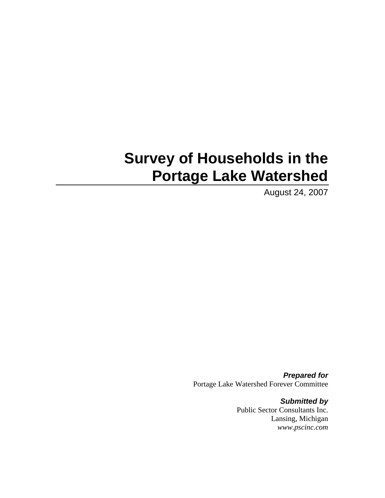# **Survey of Households in the Portage Lake Watershed**

August 24, 2007

*Prepared for*  Portage Lake Watershed Forever Committee

> *Submitted by*  Public Sector Consultants Inc. Lansing, Michigan *www.pscinc.com*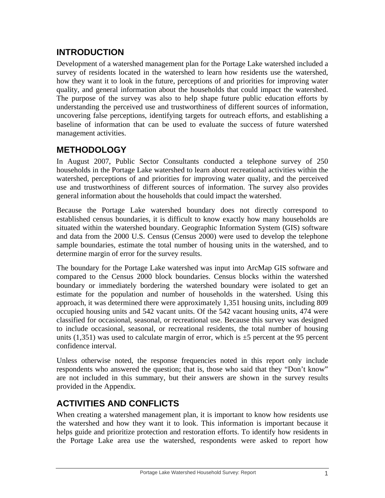# **INTRODUCTION**

Development of a watershed management plan for the Portage Lake watershed included a survey of residents located in the watershed to learn how residents use the watershed, how they want it to look in the future, perceptions of and priorities for improving water quality, and general information about the households that could impact the watershed. The purpose of the survey was also to help shape future public education efforts by understanding the perceived use and trustworthiness of different sources of information, uncovering false perceptions, identifying targets for outreach efforts, and establishing a baseline of information that can be used to evaluate the success of future watershed management activities.

### **METHODOLOGY**

In August 2007, Public Sector Consultants conducted a telephone survey of 250 households in the Portage Lake watershed to learn about recreational activities within the watershed, perceptions of and priorities for improving water quality, and the perceived use and trustworthiness of different sources of information. The survey also provides general information about the households that could impact the watershed.

Because the Portage Lake watershed boundary does not directly correspond to established census boundaries, it is difficult to know exactly how many households are situated within the watershed boundary. Geographic Information System (GIS) software and data from the 2000 U.S. Census (Census 2000) were used to develop the telephone sample boundaries, estimate the total number of housing units in the watershed, and to determine margin of error for the survey results.

The boundary for the Portage Lake watershed was input into ArcMap GIS software and compared to the Census 2000 block boundaries. Census blocks within the watershed boundary or immediately bordering the watershed boundary were isolated to get an estimate for the population and number of households in the watershed. Using this approach, it was determined there were approximately 1,351 housing units, including 809 occupied housing units and 542 vacant units. Of the 542 vacant housing units, 474 were classified for occasional, seasonal, or recreational use. Because this survey was designed to include occasional, seasonal, or recreational residents, the total number of housing units  $(1,351)$  was used to calculate margin of error, which is  $\pm 5$  percent at the 95 percent confidence interval.

Unless otherwise noted, the response frequencies noted in this report only include respondents who answered the question; that is, those who said that they "Don't know" are not included in this summary, but their answers are shown in the survey results provided in the Appendix.

# **ACTIVITIES AND CONFLICTS**

When creating a watershed management plan, it is important to know how residents use the watershed and how they want it to look. This information is important because it helps guide and prioritize protection and restoration efforts. To identify how residents in the Portage Lake area use the watershed, respondents were asked to report how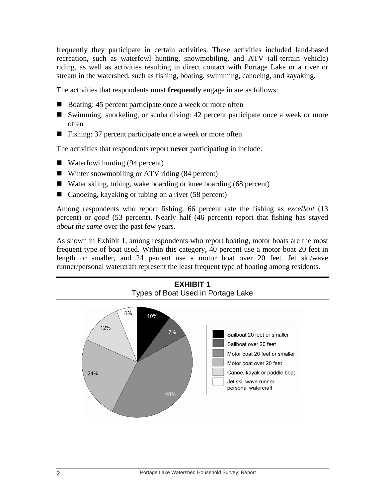frequently they participate in certain activities. These activities included land-based recreation, such as waterfowl hunting, snowmobiling, and ATV (all-terrain vehicle) riding, as well as activities resulting in direct contact with Portage Lake or a river or stream in the watershed, such as fishing, boating, swimming, canoeing, and kayaking.

The activities that respondents **most frequently** engage in are as follows:

- Boating: 45 percent participate once a week or more often
- Swimming, snorkeling, or scuba diving: 42 percent participate once a week or more often
- Fishing: 37 percent participate once a week or more often

The activities that respondents report **never** participating in include:

- Waterfowl hunting (94 percent)
- Winter snowmobiling or ATV riding (84 percent)
- Water skiing, tubing, wake boarding or knee boarding (68 percent)
- Canoeing, kayaking or tubing on a river (58 percent)

Among respondents who report fishing, 66 percent rate the fishing as *excellent* (13 percent) or *good* (53 percent). Nearly half (46 percent) report that fishing has stayed *about the same* over the past few years.

As shown in Exhibit 1, among respondents who report boating, motor boats are the most frequent type of boat used. Within this category, 40 percent use a motor boat 20 feet in length or smaller, and 24 percent use a motor boat over 20 feet. Jet ski/wave runner/personal watercraft represent the least frequent type of boating among residents.

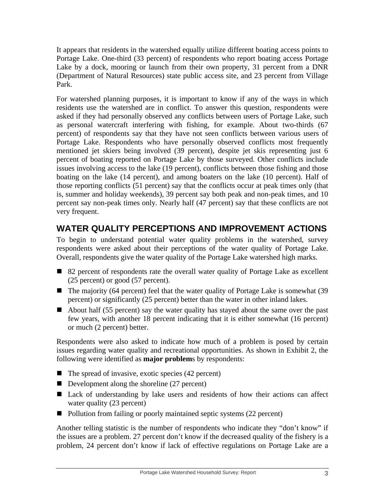It appears that residents in the watershed equally utilize different boating access points to Portage Lake. One-third (33 percent) of respondents who report boating access Portage Lake by a dock, mooring or launch from their own property, 31 percent from a DNR (Department of Natural Resources) state public access site, and 23 percent from Village Park.

For watershed planning purposes, it is important to know if any of the ways in which residents use the watershed are in conflict. To answer this question, respondents were asked if they had personally observed any conflicts between users of Portage Lake, such as personal watercraft interfering with fishing, for example. About two-thirds (67 percent) of respondents say that they have not seen conflicts between various users of Portage Lake. Respondents who have personally observed conflicts most frequently mentioned jet skiers being involved (39 percent), despite jet skis representing just 6 percent of boating reported on Portage Lake by those surveyed. Other conflicts include issues involving access to the lake (19 percent), conflicts between those fishing and those boating on the lake (14 percent), and among boaters on the lake (10 percent). Half of those reporting conflicts (51 percent) say that the conflicts occur at peak times only (that is, summer and holiday weekends), 39 percent say both peak and non-peak times, and 10 percent say non-peak times only. Nearly half (47 percent) say that these conflicts are not very frequent.

# **WATER QUALITY PERCEPTIONS AND IMPROVEMENT ACTIONS**

To begin to understand potential water quality problems in the watershed, survey respondents were asked about their perceptions of the water quality of Portage Lake. Overall, respondents give the water quality of the Portage Lake watershed high marks.

- 82 percent of respondents rate the overall water quality of Portage Lake as excellent (25 percent) or good (57 percent).
- $\blacksquare$  The majority (64 percent) feel that the water quality of Portage Lake is somewhat (39 percent) or significantly (25 percent) better than the water in other inland lakes.
- About half (55 percent) say the water quality has stayed about the same over the past few years, with another 18 percent indicating that it is either somewhat (16 percent) or much (2 percent) better.

Respondents were also asked to indicate how much of a problem is posed by certain issues regarding water quality and recreational opportunities. As shown in Exhibit 2, the following were identified as **major problem**s by respondents:

- $\blacksquare$  The spread of invasive, exotic species (42 percent)
- Development along the shoreline  $(27)$  percent)
- Lack of understanding by lake users and residents of how their actions can affect water quality (23 percent)
- Pollution from failing or poorly maintained septic systems (22 percent)

Another telling statistic is the number of respondents who indicate they "don't know" if the issues are a problem. 27 percent don't know if the decreased quality of the fishery is a problem, 24 percent don't know if lack of effective regulations on Portage Lake are a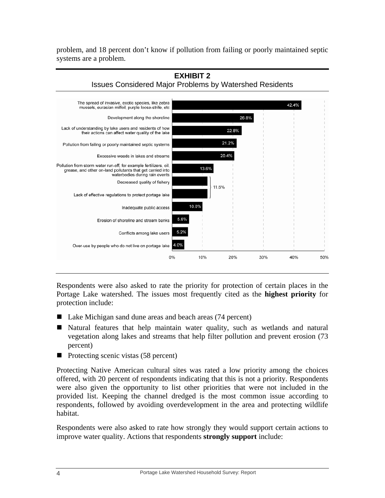problem, and 18 percent don't know if pollution from failing or poorly maintained septic systems are a problem.



Respondents were also asked to rate the priority for protection of certain places in the Portage Lake watershed. The issues most frequently cited as the **highest priority** for protection include:

- Lake Michigan sand dune areas and beach areas (74 percent)
- Natural features that help maintain water quality, such as wetlands and natural vegetation along lakes and streams that help filter pollution and prevent erosion (73 percent)
- $\blacksquare$  Protecting scenic vistas (58 percent)

Protecting Native American cultural sites was rated a low priority among the choices offered, with 20 percent of respondents indicating that this is not a priority. Respondents were also given the opportunity to list other priorities that were not included in the provided list. Keeping the channel dredged is the most common issue according to respondents, followed by avoiding overdevelopment in the area and protecting wildlife habitat.

Respondents were also asked to rate how strongly they would support certain actions to improve water quality. Actions that respondents **strongly support** include: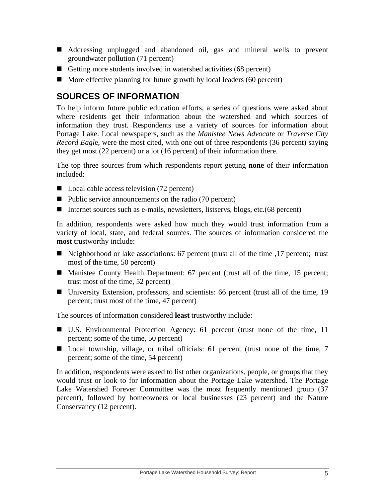- Addressing unplugged and abandoned oil, gas and mineral wells to prevent groundwater pollution (71 percent)
- Getting more students involved in watershed activities  $(68 \text{ percent})$
- $\blacksquare$  More effective planning for future growth by local leaders (60 percent)

### **SOURCES OF INFORMATION**

To help inform future public education efforts, a series of questions were asked about where residents get their information about the watershed and which sources of information they trust. Respondents use a variety of sources for information about Portage Lake. Local newspapers, such as the *Manistee News Advocate* or *Traverse City Record Eagl*e, were the most cited, with one out of three respondents (36 percent) saying they get most (22 percent) or a lot (16 percent) of their information there.

The top three sources from which respondents report getting **none** of their information included:

- Local cable access television (72 percent)
- $\blacksquare$  Public service announcements on the radio (70 percent)
- Internet sources such as e-mails, newsletters, listservs, blogs, etc. $(68$  percent)

In addition, respondents were asked how much they would trust information from a variety of local, state, and federal sources. The sources of information considered the **most** trustworthy include:

- Neighborhood or lake associations: 67 percent (trust all of the time ,17 percent; trust most of the time, 50 percent)
- Manistee County Health Department: 67 percent (trust all of the time, 15 percent; trust most of the time, 52 percent)
- University Extension, professors, and scientists: 66 percent (trust all of the time, 19 percent; trust most of the time, 47 percent)

The sources of information considered **least** trustworthy include:

- U.S. Environmental Protection Agency: 61 percent (trust none of the time, 11 percent; some of the time, 50 percent)
- Local township, village, or tribal officials: 61 percent (trust none of the time, 7 percent; some of the time, 54 percent)

In addition, respondents were asked to list other organizations, people, or groups that they would trust or look to for information about the Portage Lake watershed. The Portage Lake Watershed Forever Committee was the most frequently mentioned group (37 percent), followed by homeowners or local businesses (23 percent) and the Nature Conservancy (12 percent).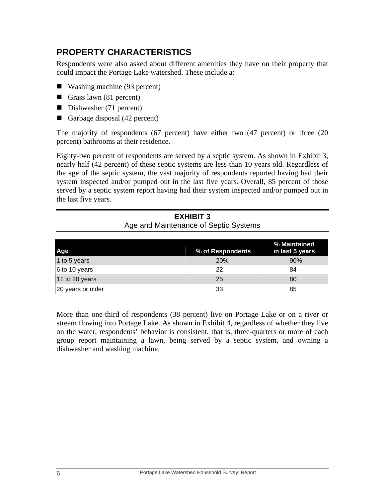### **PROPERTY CHARACTERISTICS**

Respondents were also asked about different amenities they have on their property that could impact the Portage Lake watershed. These include a:

- Washing machine (93 percent)
- Grass lawn  $(81$  percent)
- Dishwasher  $(71$  percent)
- Garbage disposal  $(42 \text{ percent})$

The majority of respondents (67 percent) have either two (47 percent) or three (20 percent) bathrooms at their residence.

Eighty-two percent of respondents are served by a septic system. As shown in Exhibit 3, nearly half (42 percent) of these septic systems are less than 10 years old. Regardless of the age of the septic system, the vast majority of respondents reported having had their system inspected and/or pumped out in the last five years. Overall, 85 percent of those served by a septic system report having had their system inspected and/or pumped out in the last five years.

| Age               | % of Respondents | % Maintained<br>in last 5 years |
|-------------------|------------------|---------------------------------|
| 1 to 5 years      | 20%              | 90%                             |
| 6 to 10 years     | 22               | 84                              |
| 11 to 20 years    | 25               | 80                              |
| 20 years or older | 33               | 85                              |

**EXHIBIT 3**  Age and Maintenance of Septic Systems

More than one-third of respondents (38 percent) live on Portage Lake or on a river or stream flowing into Portage Lake. As shown in Exhibit 4, regardless of whether they live on the water, respondents' behavior is consistent, that is, three-quarters or more of each group report maintaining a lawn, being served by a septic system, and owning a dishwasher and washing machine.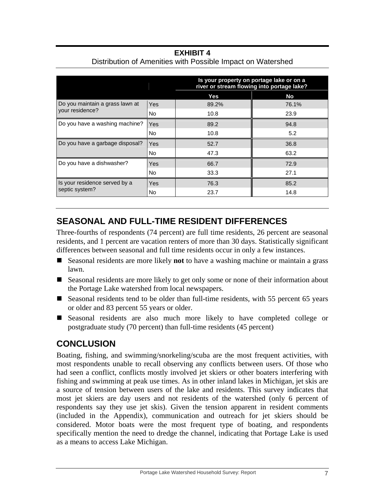# **EXHIBIT 4**

|                                 |            | Is your property on portage lake or on a<br>river or stream flowing into portage lake? |       |  |
|---------------------------------|------------|----------------------------------------------------------------------------------------|-------|--|
|                                 |            | Yes                                                                                    | No    |  |
| Do you maintain a grass lawn at | <b>Yes</b> | 89.2%                                                                                  | 76.1% |  |
| your residence?                 | No         | 10.8                                                                                   | 23.9  |  |
| Do you have a washing machine?  | Yes        | 89.2                                                                                   | 94.8  |  |
|                                 | <b>No</b>  | 10.8                                                                                   | 5.2   |  |
| Do you have a garbage disposal? | Yes        | 52.7                                                                                   | 36.8  |  |
|                                 | <b>No</b>  | 47.3                                                                                   | 63.2  |  |
| Do you have a dishwasher?       | Yes        | 66.7                                                                                   | 72.9  |  |
|                                 | <b>No</b>  | 33.3                                                                                   | 27.1  |  |
| Is your residence served by a   | Yes        | 76.3                                                                                   | 85.2  |  |
| septic system?                  | No.        | 23.7                                                                                   | 14.8  |  |

### Distribution of Amenities with Possible Impact on Watershed

### **SEASONAL AND FULL-TIME RESIDENT DIFFERENCES**

Three-fourths of respondents (74 percent) are full time residents, 26 percent are seasonal residents, and 1 percent are vacation renters of more than 30 days. Statistically significant differences between seasonal and full time residents occur in only a few instances.

- Seasonal residents are more likely **not** to have a washing machine or maintain a grass lawn.
- Seasonal residents are more likely to get only some or none of their information about the Portage Lake watershed from local newspapers.
- Seasonal residents tend to be older than full-time residents, with 55 percent 65 years or older and 83 percent 55 years or older.
- Seasonal residents are also much more likely to have completed college or postgraduate study (70 percent) than full-time residents (45 percent)

### **CONCLUSION**

Boating, fishing, and swimming/snorkeling/scuba are the most frequent activities, with most respondents unable to recall observing any conflicts between users. Of those who had seen a conflict, conflicts mostly involved jet skiers or other boaters interfering with fishing and swimming at peak use times. As in other inland lakes in Michigan, jet skis are a source of tension between users of the lake and residents. This survey indicates that most jet skiers are day users and not residents of the watershed (only 6 percent of respondents say they use jet skis). Given the tension apparent in resident comments (included in the Appendix), communication and outreach for jet skiers should be considered. Motor boats were the most frequent type of boating, and respondents specifically mention the need to dredge the channel, indicating that Portage Lake is used as a means to access Lake Michigan.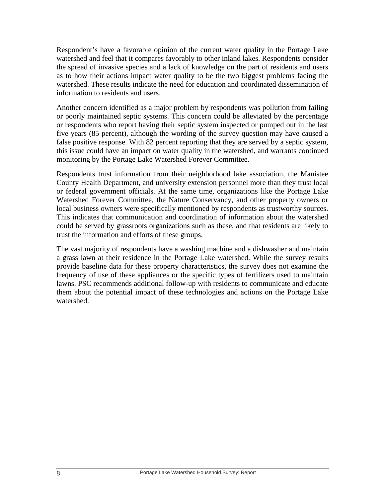Respondent's have a favorable opinion of the current water quality in the Portage Lake watershed and feel that it compares favorably to other inland lakes. Respondents consider the spread of invasive species and a lack of knowledge on the part of residents and users as to how their actions impact water quality to be the two biggest problems facing the watershed. These results indicate the need for education and coordinated dissemination of information to residents and users.

Another concern identified as a major problem by respondents was pollution from failing or poorly maintained septic systems. This concern could be alleviated by the percentage or respondents who report having their septic system inspected or pumped out in the last five years (85 percent), although the wording of the survey question may have caused a false positive response. With 82 percent reporting that they are served by a septic system, this issue could have an impact on water quality in the watershed, and warrants continued monitoring by the Portage Lake Watershed Forever Committee.

Respondents trust information from their neighborhood lake association, the Manistee County Health Department, and university extension personnel more than they trust local or federal government officials. At the same time, organizations like the Portage Lake Watershed Forever Committee, the Nature Conservancy, and other property owners or local business owners were specifically mentioned by respondents as trustworthy sources. This indicates that communication and coordination of information about the watershed could be served by grassroots organizations such as these, and that residents are likely to trust the information and efforts of these groups.

The vast majority of respondents have a washing machine and a dishwasher and maintain a grass lawn at their residence in the Portage Lake watershed. While the survey results provide baseline data for these property characteristics, the survey does not examine the frequency of use of these appliances or the specific types of fertilizers used to maintain lawns. PSC recommends additional follow-up with residents to communicate and educate them about the potential impact of these technologies and actions on the Portage Lake watershed.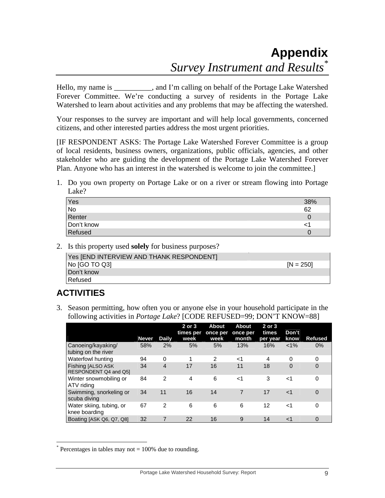Hello, my name is \_\_\_\_\_\_\_\_\_\_, and I'm calling on behalf of the Portage Lake Watershed Forever Committee. We're conducting a survey of residents in the Portage Lake Watershed to learn about activities and any problems that may be affecting the watershed.

Your responses to the survey are important and will help local governments, concerned citizens, and other interested parties address the most urgent priorities.

[IF RESPONDENT ASKS: The Portage Lake Watershed Forever Committee is a group of local residents, business owners, organizations, public officials, agencies, and other stakeholder who are guiding the development of the Portage Lake Watershed Forever Plan. Anyone who has an interest in the watershed is welcome to join the committee.]

1. Do you own property on Portage Lake or on a river or stream flowing into Portage Lake?

|            | 38% |
|------------|-----|
| Yes<br>No  | 62  |
| Renter     |     |
| Don't know |     |
| Refused    |     |

2. Is this property used **solely** for business purposes?

| Yes [END INTERVIEW AND THANK RESPONDENT] |             |
|------------------------------------------|-------------|
| No [GO TO Q3]                            | $[N = 250]$ |
| l Don't know                             |             |
| <b>Refused</b>                           |             |

# **ACTIVITIES**

 $\overline{a}$ 

3. Season permitting, how often you or anyone else in your household participate in the following activities in *Portage Lake*? [CODE REFUSED=99; DON'T KNOW=88]

|                                            | Never | Daily          | 2 or 3<br>times per<br>week | About<br>once per<br>week | <b>About</b><br>once per<br>month | 2 or 3<br>times<br>per year | Don't<br>know | <b>Refused</b> |
|--------------------------------------------|-------|----------------|-----------------------------|---------------------------|-----------------------------------|-----------------------------|---------------|----------------|
| Canoeing/kayaking/<br>tubing on the river  | 58%   | 2%             | 5%                          | 5%                        | 13%                               | 16%                         | $< 1\%$       | 0%             |
| Waterfowl hunting                          | 94    | $\Omega$       |                             | $\overline{2}$            | $<$ 1                             | 4                           | $\Omega$      | 0              |
| Fishing [ALSO ASK<br>RESPONDENT Q4 and Q5] | 34    | $\overline{4}$ | 17                          | 16                        | 11                                | 18                          | $\Omega$      | $\Omega$       |
| Winter snowmobiling or<br>ATV riding       | 84    | $\overline{2}$ | 4                           | 6                         | $<$ 1                             | 3                           | $<$ 1         | 0              |
| Swimming, snorkeling or<br>scuba diving    | 34    | 11             | 16                          | 14                        | 7                                 | 17                          | $<$ 1         | $\Omega$       |
| Water skiing, tubing, or<br>knee boarding  | 67    | $\mathcal{P}$  | 6                           | 6                         | 6                                 | 12                          | $<$ 1         | 0              |
| Boating [ASK Q6, Q7, Q8]                   | 32    |                | 22                          | 16                        | 9                                 | 14                          | $<$ 1         | $\Omega$       |

<sup>\*</sup> Percentages in tables may not  $= 100\%$  due to rounding.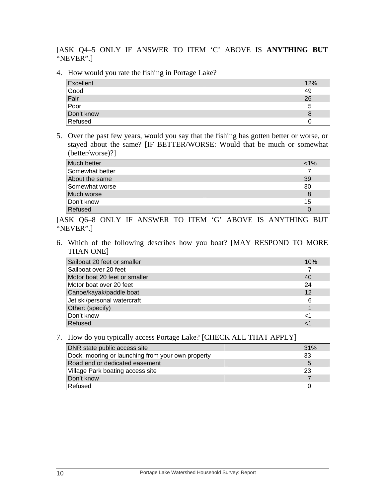[ASK Q4–5 ONLY IF ANSWER TO ITEM 'C' ABOVE IS **ANYTHING BUT**  "NEVER".]

4. How would you rate the fishing in Portage Lake?

| Excellent  | 12% |
|------------|-----|
| Good       | 49  |
| Fair       | 26  |
| Poor       | đ   |
| Don't know | O   |
| Refused    |     |

5. Over the past few years, would you say that the fishing has gotten better or worse, or stayed about the same? [IF BETTER/WORSE: Would that be much or somewhat (better/worse)?]

| Much better     | $<$ 1% |
|-----------------|--------|
| Somewhat better |        |
| About the same  | 39     |
| Somewhat worse  | 30     |
| Much worse      |        |
| Don't know      | 15     |
| Refused         |        |

[ASK Q6–8 ONLY IF ANSWER TO ITEM 'G' ABOVE IS ANYTHING BUT "NEVER".]

6. Which of the following describes how you boat? [MAY RESPOND TO MORE THAN ONE]

| Sailboat 20 feet or smaller   | 10% |
|-------------------------------|-----|
| Sailboat over 20 feet         |     |
| Motor boat 20 feet or smaller | 40  |
| Motor boat over 20 feet       | 24  |
| Canoe/kayak/paddle boat       | 12  |
| Jet ski/personal watercraft   | 6   |
| Other: (specify)              |     |
| Don't know                    | <1  |
| Refused                       |     |

#### 7. How do you typically access Portage Lake? [CHECK ALL THAT APPLY]

| DNR state public access site                      | 31% |
|---------------------------------------------------|-----|
| Dock, mooring or launching from your own property | 33  |
| Road end or dedicated easement                    | 5   |
| Village Park boating access site                  | 23  |
| Don't know                                        |     |
| Refused                                           |     |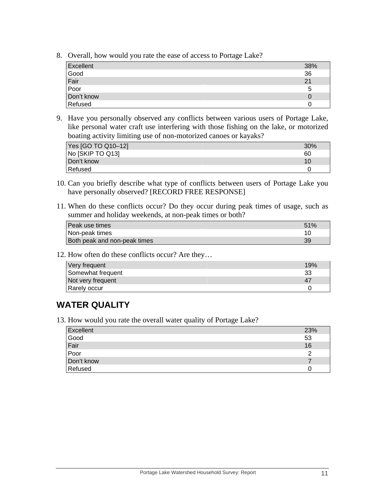8. Overall, how would you rate the ease of access to Portage Lake?

| Excellent                          | 38% |
|------------------------------------|-----|
| Good<br>Fair<br>Poor<br>Don't know | 36  |
|                                    | 21  |
|                                    |     |
|                                    |     |
| Refused                            |     |

9. Have you personally observed any conflicts between various users of Portage Lake, like personal water craft use interfering with those fishing on the lake, or motorized boating activity limiting use of non-motorized canoes or kayaks?

| Yes [GO TO Q10-12] | 30% |
|--------------------|-----|
| No [SKIP TO Q13]   | 60  |
| Don't know         | 10  |
| Refused            |     |

- 10. Can you briefly describe what type of conflicts between users of Portage Lake you have personally observed? [RECORD FREE RESPONSE]
- 11. When do these conflicts occur? Do they occur during peak times of usage, such as summer and holiday weekends, at non-peak times or both?

| I Peak use times             | 51% |
|------------------------------|-----|
| Non-peak times               |     |
| Both peak and non-peak times |     |

12. How often do these conflicts occur? Are they…

| Very frequent     | 19%            |
|-------------------|----------------|
| Somewhat frequent | 33             |
| Not very frequent | $\overline{4}$ |
| Rarely occur      |                |

# **WATER QUALITY**

13. How would you rate the overall water quality of Portage Lake?

| Excellent                          | 23% |
|------------------------------------|-----|
|                                    | 53  |
| Good<br>Fair<br>Poor<br>Don't know | 16  |
|                                    |     |
|                                    |     |
| Refused                            |     |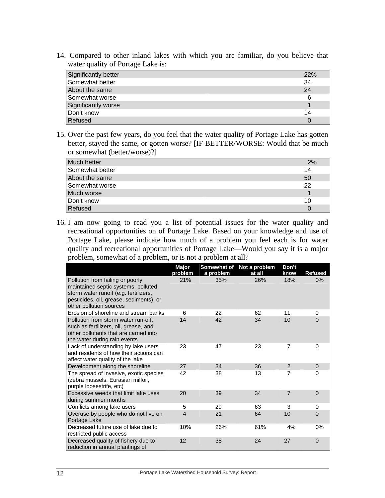14. Compared to other inland lakes with which you are familiar, do you believe that water quality of Portage Lake is:

| Significantly better | 22% |
|----------------------|-----|
| Somewhat better      | -34 |
| About the same       | 24  |
| Somewhat worse       | 6   |
| Significantly worse  |     |
| Don't know           | 14  |
| Refused              |     |

15. Over the past few years, do you feel that the water quality of Portage Lake has gotten better, stayed the same, or gotten worse? [IF BETTER/WORSE: Would that be much or somewhat (better/worse)?]

| Much better     | 2% |
|-----------------|----|
| Somewhat better | 14 |
| About the same  | 50 |
| Somewhat worse  | 22 |
| Much worse      |    |
| Don't know      | 10 |
| Refused         |    |

16. I am now going to read you a list of potential issues for the water quality and recreational opportunities on of Portage Lake. Based on your knowledge and use of Portage Lake, please indicate how much of a problem you feel each is for water quality and recreational opportunities of Portage Lake—Would you say it is a major problem, somewhat of a problem, or is not a problem at all?

|                                                                                                                                                                                        | Major<br>problem | Somewhat of<br>a problem | Not a problem<br>at all | Don't<br>know  | <b>Refused</b> |
|----------------------------------------------------------------------------------------------------------------------------------------------------------------------------------------|------------------|--------------------------|-------------------------|----------------|----------------|
| Pollution from failing or poorly<br>maintained septic systems, polluted<br>storm water runoff (e.g. fertilizers,<br>pesticides, oil, grease, sediments), or<br>other pollution sources | 21%              | 35%                      | 26%                     | 18%            | $0\%$          |
| Frosion of shoreline and stream banks                                                                                                                                                  | 6                | 22                       | 62                      | 11             | 0              |
| Pollution from storm water run-off,<br>such as fertilizers, oil, grease, and<br>other pollutants that are carried into<br>the water during rain events                                 | 14               | 42                       | 34                      | 10             | $\Omega$       |
| Lack of understanding by lake users<br>and residents of how their actions can<br>affect water quality of the lake                                                                      | 23               | 47                       | 23                      | 7              | 0              |
| Development along the shoreline                                                                                                                                                        | 27               | 34                       | 36                      | $\mathcal{P}$  | $\Omega$       |
| The spread of invasive, exotic species<br>(zebra mussels, Eurasian milfoil,<br>purple loosestrife, etc)                                                                                | 42               | 38                       | 13                      | 7              | 0              |
| Excessive weeds that limit lake uses<br>during summer months                                                                                                                           | 20               | 39                       | 34                      | $\overline{7}$ | $\Omega$       |
| Conflicts among lake users                                                                                                                                                             | 5                | 29                       | 63                      | 3              | 0              |
| Overuse by people who do not live on<br>Portage Lake                                                                                                                                   | 4                | 21                       | 64                      | 10             | $\Omega$       |
| Decreased future use of lake due to<br>restricted public access                                                                                                                        | 10%              | 26%                      | 61%                     | 4%             | 0%             |
| Decreased quality of fishery due to<br>reduction in annual plantings of                                                                                                                | 12               | 38                       | 24                      | 27             | $\Omega$       |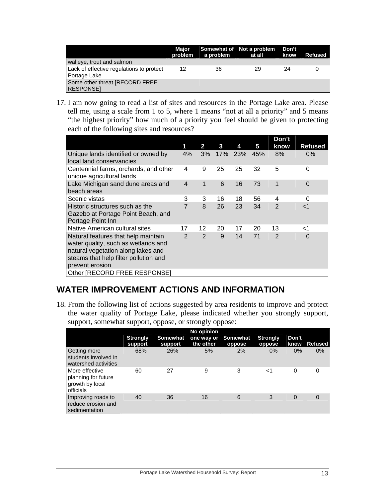|                                                          | Maior | problem a problem | Somewhat of Not a problem<br>at all | Don't<br>know | <b>Refused</b> |
|----------------------------------------------------------|-------|-------------------|-------------------------------------|---------------|----------------|
| walleye, trout and salmon                                |       |                   |                                     |               |                |
| Lack of effective regulations to protect<br>Portage Lake | 12    | 36                | 29                                  | 24            |                |
| Some other threat [RECORD FREE<br><b>RESPONSEI</b>       |       |                   |                                     |               |                |

17. I am now going to read a list of sites and resources in the Portage Lake area. Please tell me, using a scale from 1 to 5, where 1 means "not at all a priority" and 5 means "the highest priority" how much of a priority you feel should be given to protecting each of the following sites and resources?

|                                                                                                                                                                              |                | 2              | 3   |            | $\overline{\mathbf{5}}$ | Don't<br>know  | <b>Refused</b> |
|------------------------------------------------------------------------------------------------------------------------------------------------------------------------------|----------------|----------------|-----|------------|-------------------------|----------------|----------------|
| Unique lands identified or owned by<br>local land conservancies                                                                                                              | 4%             | 3%             | 17% | <b>23%</b> | 45%                     | 8%             | $0\%$          |
| Centennial farms, orchards, and other<br>unique agricultural lands                                                                                                           | 4              | 9              | 25  | 25         | 32                      | 5              | 0              |
| Lake Michigan sand dune areas and<br>beach areas                                                                                                                             | $\overline{4}$ | 1              | 6   | 16         | 73                      | 1              | 0              |
| Scenic vistas                                                                                                                                                                | 3              | 3              | 16  | 18         | 56                      | 4              | 0              |
| Historic structures such as the<br>Gazebo at Portage Point Beach, and<br>Portage Point Inn                                                                                   | $\overline{7}$ | 8              | 26  | 23         | 34                      | $\overline{2}$ | ا>             |
| Native American cultural sites                                                                                                                                               | 17             | 12             | 20  | 17         | 20                      | 13             | <1             |
| Natural features that help maintain<br>water quality, such as wetlands and<br>natural vegetation along lakes and<br>steams that help filter pollution and<br>prevent erosion | $\overline{2}$ | $\overline{2}$ | 9   | 14         | 71                      | $\overline{2}$ | O              |
| Other [RECORD FREE RESPONSE]                                                                                                                                                 |                |                |     |            |                         |                |                |

### **WATER IMPROVEMENT ACTIONS AND INFORMATION**

18. From the following list of actions suggested by area residents to improve and protect the water quality of Portage Lake, please indicated whether you strongly support, support, somewhat support, oppose, or strongly oppose:

|                                                                       | <b>Strongly</b><br>support | <b>Somewhat</b><br>support | No opinion<br>one way or<br>the other | Somewhat<br>oppose | <b>Strongly</b><br>oppose | Don't<br>know | Refused  |
|-----------------------------------------------------------------------|----------------------------|----------------------------|---------------------------------------|--------------------|---------------------------|---------------|----------|
| Getting more<br>students involved in<br>watershed activities          | 68%                        | 26%                        | 5%                                    | 2%                 | 0%                        | 0%            | 0%       |
| More effective<br>planning for future<br>growth by local<br>officials | 60                         | 27                         | 9                                     | 3                  | ا>                        | 0             | 0        |
| Improving roads to<br>reduce erosion and<br>sedimentation             | 40                         | 36                         | 16                                    | 6                  | 3                         | 0             | $\Omega$ |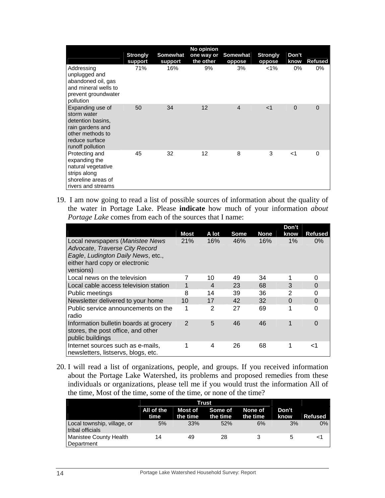|                                                                                                                                    |                            |                     | No opinion              |                    |                           |               |                |
|------------------------------------------------------------------------------------------------------------------------------------|----------------------------|---------------------|-------------------------|--------------------|---------------------------|---------------|----------------|
|                                                                                                                                    | <b>Strongly</b><br>support | Somewhat<br>support | one way or<br>the other | Somewhat<br>oppose | <b>Strongly</b><br>oppose | Don't<br>know | <b>Refused</b> |
| Addressing<br>unplugged and<br>abandoned oil, gas<br>and mineral wells to<br>prevent groundwater<br>pollution                      | 71%                        | 16%                 | 9%                      | 3%                 | $< 1\%$                   | $0\%$         | 0%             |
| Expanding use of<br>storm water<br>detention basins,<br>rain gardens and<br>other methods to<br>reduce surface<br>runoff pollution | 50                         | 34                  | 12                      | $\overline{4}$     | $<$ 1                     | $\Omega$      | $\Omega$       |
| Protecting and<br>expanding the<br>natural vegetative<br>strips along<br>shoreline areas of<br>rivers and streams                  | 45                         | 32                  | 12                      | 8                  | 3                         | $<$ 1         | $\Omega$       |

19. I am now going to read a list of possible sources of information about the quality of the water in Portage Lake. Please **indicate** how much of your information *about Portage Lake* comes from each of the sources that I name:

|                                                                                                                                                        |                |                |             |             | Don't |                |
|--------------------------------------------------------------------------------------------------------------------------------------------------------|----------------|----------------|-------------|-------------|-------|----------------|
|                                                                                                                                                        | Most           | A lot          | <b>Some</b> | <b>None</b> | know  | <b>Refused</b> |
| Local newspapers (Manistee News<br>Advocate, Traverse City Record<br>Eagle, Ludington Daily News, etc.,<br>either hard copy or electronic<br>versions) | 21%            | 16%            | 46%         | 16%         | $1\%$ | $0\%$          |
| Local news on the television                                                                                                                           |                | 10             | 49          | 34          | 1     | 0              |
| Local cable access television station                                                                                                                  | 1              | 4              | 23          | 68          | 3     | $\Omega$       |
| Public meetings                                                                                                                                        | 8              | 14             | 39          | 36          | 2     | 0              |
| Newsletter delivered to your home                                                                                                                      | 10             | 17             | 42          | 32          | 0     | 0              |
| Public service announcements on the<br>radio                                                                                                           | 1              | $\overline{2}$ | 27          | 69          | 1     | 0              |
| Information bulletin boards at grocery<br>stores, the post office, and other<br>public buildings                                                       | $\overline{2}$ | 5              | 46          | 46          | 1     | $\Omega$       |
| Internet sources such as e-mails,<br>newsletters, listservs, blogs, etc.                                                                               | 1              | 4              | 26          | 68          | 1     | ا>             |

20. I will read a list of organizations, people, and groups. If you received information about the Portage Lake Watershed, its problems and proposed remedies from these individuals or organizations, please tell me if you would trust the information All of the time, Most of the time, some of the time, or none of the time?

|                                                 | All of the<br>time | <b>Most of</b><br>the time | Some of<br>the time | None of<br>the time | Don't<br>know | <b>Refused</b> |
|-------------------------------------------------|--------------------|----------------------------|---------------------|---------------------|---------------|----------------|
| Local township, village, or<br>tribal officials | 5%                 | 33%                        | 52%                 | 6%                  | 3%            | $0\%$          |
| Manistee County Health<br>Department            | 14                 | 49                         | 28                  |                     | 5             | ا >            |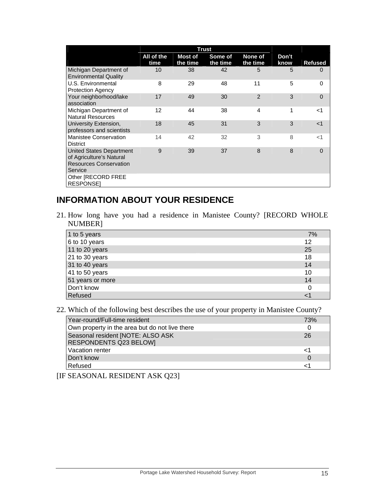|                                                                                                  |                    | <b>Trust</b>               |                     |                     |               |                |
|--------------------------------------------------------------------------------------------------|--------------------|----------------------------|---------------------|---------------------|---------------|----------------|
|                                                                                                  | All of the<br>time | <b>Most of</b><br>the time | Some of<br>the time | None of<br>the time | Don't<br>know | <b>Refused</b> |
| Michigan Department of<br><b>Environmental Quality</b>                                           | 10                 | 38                         | 42                  | 5                   | 5             | 0              |
| U.S. Environmental<br><b>Protection Agency</b>                                                   | 8                  | 29                         | 48                  | 11                  | 5             | 0              |
| Your neighborhood/lake<br>association                                                            | 17                 | 49                         | 30                  | $\overline{2}$      | 3             | 0              |
| Michigan Department of<br><b>Natural Resources</b>                                               | 12                 | 44                         | 38                  | $\overline{4}$      | 1             | $<$ 1          |
| University Extension,<br>professors and scientists                                               | 18                 | 45                         | 31                  | 3                   | 3             | $<$ 1          |
| <b>Manistee Conservation</b><br><b>District</b>                                                  | 14                 | 42                         | 32                  | 3                   | 8             | $<$ 1          |
| United States Department<br>of Agriculture's Natural<br><b>Resources Conservation</b><br>Service | 9                  | 39                         | 37                  | 8                   | 8             | 0              |
| Other [RECORD FREE<br><b>RESPONSE</b>                                                            |                    |                            |                     |                     |               |                |

# **INFORMATION ABOUT YOUR RESIDENCE**

21. How long have you had a residence in Manistee County? [RECORD WHOLE NUMBER]

| 1 to 5 years     | 7% |
|------------------|----|
| 6 to 10 years    | 12 |
| 11 to 20 years   | 25 |
| 21 to 30 years   | 18 |
| 31 to 40 years   | 14 |
| 41 to 50 years   | 10 |
| 51 years or more | 14 |
| Don't know       |    |
| Refused          |    |

22. Which of the following best describes the use of your property in Manistee County?

| Year-round/Full-time resident                  | 73% |
|------------------------------------------------|-----|
| Own property in the area but do not live there |     |
| Seasonal resident [NOTE: ALSO ASK              | 26  |
| RESPONDENTS Q23 BELOW]                         |     |
| Vacation renter                                | ا>  |
| Don't know                                     |     |
| Refused                                        |     |

[IF SEASONAL RESIDENT ASK Q23]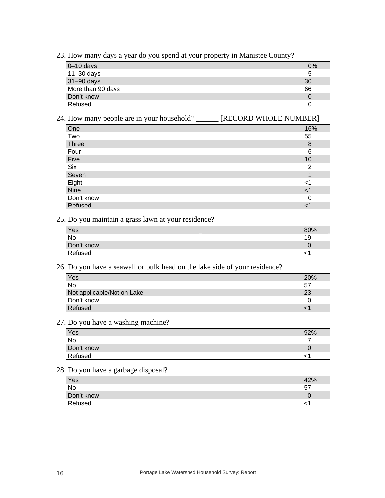23. How many days a year do you spend at your property in Manistee County?

| $0 - 10$ days     | 0% |
|-------------------|----|
| $11 - 30$ days    | 5  |
| $31 - 90$ days    | 30 |
| More than 90 days | 66 |
| Don't know        |    |
| Refused           |    |

24. How many people are in your household? \_\_\_\_\_\_\_ [RECORD WHOLE NUMBER]

| One        | 16%   |
|------------|-------|
| Two        | 55    |
| Three      | 8     |
| Four       | 6     |
| Five       | 10    |
| Six        | 2     |
| Seven      |       |
| Eight      | <1    |
| Nine       | $<$ 1 |
| Don't know | 0     |
| Refused    | <1    |

25. Do you maintain a grass lawn at your residence?

| Yes        | 80% |
|------------|-----|
| No         | 19  |
| Don't know |     |
| Refused    |     |
|            |     |

26. Do you have a seawall or bulk head on the lake side of your residence?

| Yes                        | <b>20%</b> |
|----------------------------|------------|
| <b>No</b>                  | 57         |
| Not applicable/Not on Lake | 23         |
| Don't know                 |            |
| Refused                    |            |

#### 27. Do you have a washing machine?

| Yes        | 92% |
|------------|-----|
| No         |     |
| Don't know |     |
| Refused    |     |

### 28. Do you have a garbage disposal?

| Yes        | 12% |
|------------|-----|
| No         | 57  |
| Don't know |     |
| Refused    |     |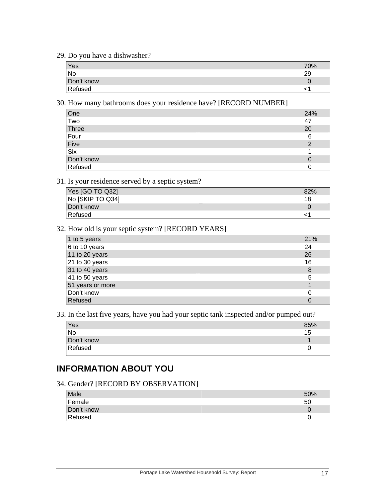29. Do you have a dishwasher?

| Yes        | 70% |
|------------|-----|
| No         | 29  |
| Don't know |     |
| Refused    |     |

#### 30. How many bathrooms does your residence have? [RECORD NUMBER]

| One        | 24% |
|------------|-----|
| Two        | 47  |
| Three      | 20  |
| Four       | 6   |
| Five       | റ   |
| Six        |     |
| Don't know |     |
| Refused    |     |

### 31. Is your residence served by a septic system?

| Yes [GO TO Q32]  | 82% |
|------------------|-----|
| No [SKIP TO Q34] | 18  |
| Don't know       |     |
| Refused          |     |

#### 32. How old is your septic system? [RECORD YEARS]

| 1 to 5 years     | 21% |
|------------------|-----|
| 6 to 10 years    | 24  |
| 11 to 20 years   | 26  |
| 21 to 30 years   | 16  |
| 31 to 40 years   | 8   |
| 41 to 50 years   | 5   |
| 51 years or more |     |
| Don't know       |     |
| Refused          |     |

#### 33. In the last five years, have you had your septic tank inspected and/or pumped out?

| 85% |
|-----|
| 15  |
|     |
|     |
|     |

### **INFORMATION ABOUT YOU**

#### 34. Gender? [RECORD BY OBSERVATION]

| Male       | 50% |
|------------|-----|
| Female     | 50  |
| Don't know |     |
| Refused    |     |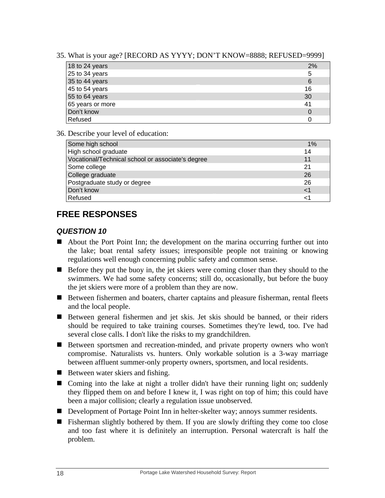35. What is your age? [RECORD AS YYYY; DON'T KNOW=8888; REFUSED=9999]

| 18 to 24 years   | 2%       |
|------------------|----------|
| 25 to 34 years   | 5        |
| 35 to 44 years   | 6        |
| 45 to 54 years   | 16       |
| 55 to 64 years   | 30       |
| 65 years or more | 41       |
| Don't know       | $\Omega$ |
| Refused          |          |

#### 36. Describe your level of education:

| Some high school                                  | 1%    |
|---------------------------------------------------|-------|
| High school graduate                              | 14    |
| Vocational/Technical school or associate's degree | 11    |
| Some college                                      | 21    |
| College graduate                                  | 26    |
| Postgraduate study or degree                      | 26    |
| Don't know                                        | $<$ 1 |
| Refused                                           | م -   |

### **FREE RESPONSES**

- About the Port Point Inn; the development on the marina occurring further out into the lake; boat rental safety issues; irresponsible people not training or knowing regulations well enough concerning public safety and common sense.
- Before they put the buoy in, the jet skiers were coming closer than they should to the swimmers. We had some safety concerns; still do, occasionally, but before the buoy the jet skiers were more of a problem than they are now.
- **Between fishermen and boaters, charter captains and pleasure fisherman, rental fleets** and the local people.
- Between general fishermen and jet skis. Jet skis should be banned, or their riders should be required to take training courses. Sometimes they're lewd, too. I've had several close calls. I don't like the risks to my grandchildren.
- Between sportsmen and recreation-minded, and private property owners who won't compromise. Naturalists vs. hunters. Only workable solution is a 3-way marriage between affluent summer-only property owners, sportsmen, and local residents.
- Between water skiers and fishing.
- Coming into the lake at night a troller didn't have their running light on; suddenly they flipped them on and before I knew it, I was right on top of him; this could have been a major collision; clearly a regulation issue unobserved.
- Development of Portage Point Inn in helter-skelter way; annoys summer residents.
- Fisherman slightly bothered by them. If you are slowly drifting they come too close and too fast where it is definitely an interruption. Personal watercraft is half the problem.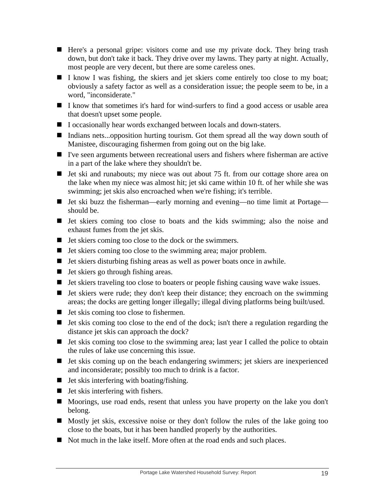- Here's a personal gripe: visitors come and use my private dock. They bring trash down, but don't take it back. They drive over my lawns. They party at night. Actually, most people are very decent, but there are some careless ones.
- I know I was fishing, the skiers and jet skiers come entirely too close to my boat; obviously a safety factor as well as a consideration issue; the people seem to be, in a word, "inconsiderate."
- I know that sometimes it's hard for wind-surfers to find a good access or usable area that doesn't upset some people.
- I occasionally hear words exchanged between locals and down-staters.
- Indians nets...opposition hurting tourism. Got them spread all the way down south of Manistee, discouraging fishermen from going out on the big lake.
- I've seen arguments between recreational users and fishers where fisherman are active in a part of the lake where they shouldn't be.
- $\blacksquare$  Jet ski and runabouts; my niece was out about 75 ft. from our cottage shore area on the lake when my niece was almost hit; jet ski came within 10 ft. of her while she was swimming; jet skis also encroached when we're fishing; it's terrible.
- Jet ski buzz the fisherman—early morning and evening—no time limit at Portage should be.
- If Jet skiers coming too close to boats and the kids swimming; also the noise and exhaust fumes from the jet skis.
- $\blacksquare$  Jet skiers coming too close to the dock or the swimmers.
- $\blacksquare$  Jet skiers coming too close to the swimming area; major problem.
- Jet skiers disturbing fishing areas as well as power boats once in awhile.
- $\blacksquare$  Jet skiers go through fishing areas.
- $\blacksquare$  Jet skiers traveling too close to boaters or people fishing causing wave wake issues.
- $\blacksquare$  Jet skiers were rude; they don't keep their distance; they encroach on the swimming areas; the docks are getting longer illegally; illegal diving platforms being built/used.
- Jet skis coming too close to fishermen.
- $\blacksquare$  Jet skis coming too close to the end of the dock; isn't there a regulation regarding the distance jet skis can approach the dock?
- If Jet skis coming too close to the swimming area; last year I called the police to obtain the rules of lake use concerning this issue.
- $\blacksquare$  Jet skis coming up on the beach endangering swimmers; jet skiers are inexperienced and inconsiderate; possibly too much to drink is a factor.
- $\blacksquare$  Jet skis interfering with boating/fishing.
- $\blacksquare$  Jet skis interfering with fishers.
- Moorings, use road ends, resent that unless you have property on the lake you don't belong.
- Mostly jet skis, excessive noise or they don't follow the rules of the lake going too close to the boats, but it has been handled properly by the authorities.
- Not much in the lake itself. More often at the road ends and such places.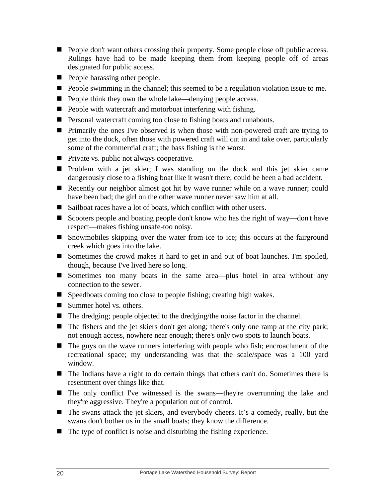- **People don't want others crossing their property. Some people close off public access.** Rulings have had to be made keeping them from keeping people off of areas designated for public access.
- **People harassing other people.**
- **People swimming in the channel; this seemed to be a regulation violation issue to me.**
- $\blacksquare$  People think they own the whole lake—denying people access.
- People with watercraft and motorboat interfering with fishing.
- **Personal watercraft coming too close to fishing boats and runabouts.**
- Primarily the ones I've observed is when those with non-powered craft are trying to get into the dock, often those with powered craft will cut in and take over, particularly some of the commercial craft; the bass fishing is the worst.
- **Private vs. public not always cooperative.**
- Problem with a jet skier; I was standing on the dock and this jet skier came dangerously close to a fishing boat like it wasn't there; could be been a bad accident.
- Recently our neighbor almost got hit by wave runner while on a wave runner; could have been bad; the girl on the other wave runner never saw him at all.
- Sailboat races have a lot of boats, which conflict with other users.
- Scooters people and boating people don't know who has the right of way—don't have respect—makes fishing unsafe-too noisy.
- Snowmobiles skipping over the water from ice to ice; this occurs at the fairground creek which goes into the lake.
- Sometimes the crowd makes it hard to get in and out of boat launches. I'm spoiled, though, because I've lived here so long.
- Sometimes too many boats in the same area—plus hotel in area without any connection to the sewer.
- Speedboats coming too close to people fishing; creating high wakes.
- Summer hotel vs. others.
- The dredging; people objected to the dredging/the noise factor in the channel.
- The fishers and the jet skiers don't get along; there's only one ramp at the city park; not enough access, nowhere near enough; there's only two spots to launch boats.
- The guys on the wave runners interfering with people who fish; encroachment of the recreational space; my understanding was that the scale/space was a 100 yard window.
- The Indians have a right to do certain things that others can't do. Sometimes there is resentment over things like that.
- The only conflict I've witnessed is the swans—they're overrunning the lake and they're aggressive. They're a population out of control.
- The swans attack the jet skiers, and everybody cheers. It's a comedy, really, but the swans don't bother us in the small boats; they know the difference.
- $\blacksquare$  The type of conflict is noise and disturbing the fishing experience.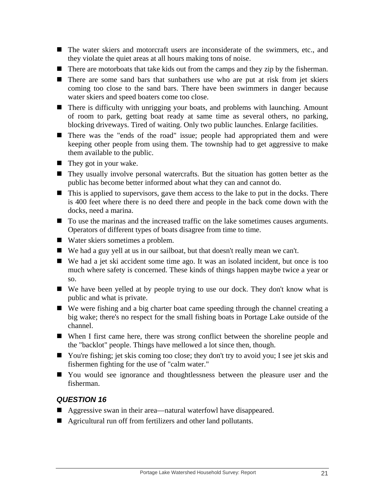- The water skiers and motorcraft users are inconsiderate of the swimmers, etc., and they violate the quiet areas at all hours making tons of noise.
- There are motorboats that take kids out from the camps and they zip by the fisherman.
- There are some sand bars that sunbathers use who are put at risk from jet skiers coming too close to the sand bars. There have been swimmers in danger because water skiers and speed boaters come too close.
- There is difficulty with unrigging your boats, and problems with launching. Amount of room to park, getting boat ready at same time as several others, no parking, blocking driveways. Tired of waiting. Only two public launches. Enlarge facilities.
- There was the "ends of the road" issue; people had appropriated them and were keeping other people from using them. The township had to get aggressive to make them available to the public.
- $\blacksquare$  They got in your wake.
- They usually involve personal watercrafts. But the situation has gotten better as the public has become better informed about what they can and cannot do.
- This is applied to supervisors, gave them access to the lake to put in the docks. There is 400 feet where there is no deed there and people in the back come down with the docks, need a marina.
- To use the marinas and the increased traffic on the lake sometimes causes arguments. Operators of different types of boats disagree from time to time.
- Water skiers sometimes a problem.
- We had a guy yell at us in our sailboat, but that doesn't really mean we can't.
- We had a jet ski accident some time ago. It was an isolated incident, but once is too much where safety is concerned. These kinds of things happen maybe twice a year or so.
- We have been yelled at by people trying to use our dock. They don't know what is public and what is private.
- We were fishing and a big charter boat came speeding through the channel creating a big wake; there's no respect for the small fishing boats in Portage Lake outside of the channel.
- When I first came here, there was strong conflict between the shoreline people and the "backlot" people. Things have mellowed a lot since then, though.
- You're fishing; jet skis coming too close; they don't try to avoid you; I see jet skis and fishermen fighting for the use of "calm water."
- You would see ignorance and thoughtlessness between the pleasure user and the fisherman.

- Aggressive swan in their area—natural waterfowl have disappeared.
- Agricultural run off from fertilizers and other land pollutants.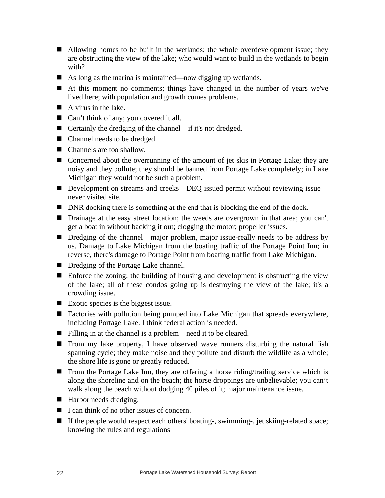- Allowing homes to be built in the wetlands; the whole overdevelopment issue; they are obstructing the view of the lake; who would want to build in the wetlands to begin with?
- As long as the marina is maintained—now digging up wetlands.
- At this moment no comments; things have changed in the number of years we've lived here; with population and growth comes problems.
- $\blacksquare$  A virus in the lake.
- Can't think of any; you covered it all.
- Certainly the dredging of the channel—if it's not dredged.
- Channel needs to be dredged.
- Channels are too shallow.
- Concerned about the overrunning of the amount of jet skis in Portage Lake; they are noisy and they pollute; they should be banned from Portage Lake completely; in Lake Michigan they would not be such a problem.
- Development on streams and creeks—DEO issued permit without reviewing issue never visited site.
- DNR docking there is something at the end that is blocking the end of the dock.
- Drainage at the easy street location; the weeds are overgrown in that area; you can't get a boat in without backing it out; clogging the motor; propeller issues.
- Dredging of the channel—major problem, major issue-really needs to be address by us. Damage to Lake Michigan from the boating traffic of the Portage Point Inn; in reverse, there's damage to Portage Point from boating traffic from Lake Michigan.
- Dredging of the Portage Lake channel.
- Enforce the zoning; the building of housing and development is obstructing the view of the lake; all of these condos going up is destroying the view of the lake; it's a crowding issue.
- Exotic species is the biggest issue.
- Factories with pollution being pumped into Lake Michigan that spreads everywhere, including Portage Lake. I think federal action is needed.
- Filling in at the channel is a problem—need it to be cleared.
- $\blacksquare$  From my lake property, I have observed wave runners disturbing the natural fish spanning cycle; they make noise and they pollute and disturb the wildlife as a whole; the shore life is gone or greatly reduced.
- $\blacksquare$  From the Portage Lake Inn, they are offering a horse riding/trailing service which is along the shoreline and on the beach; the horse droppings are unbelievable; you can't walk along the beach without dodging 40 piles of it; major maintenance issue.
- Harbor needs dredging.
- $\blacksquare$  I can think of no other issues of concern.
- If the people would respect each others' boating-, swimming-, jet skiing-related space; knowing the rules and regulations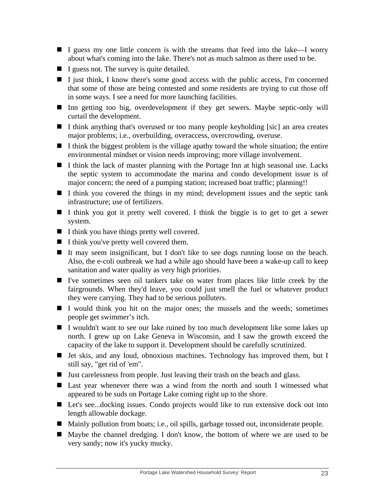- I guess my one little concern is with the streams that feed into the lake—I worry about what's coming into the lake. There's not as much salmon as there used to be.
- I guess not. The survey is quite detailed.
- I just think, I know there's some good access with the public access, I'm concerned that some of those are being contested and some residents are trying to cut those off in some ways. I see a need for more launching facilities.
- Inn getting too big, overdevelopment if they get sewers. Maybe septic-only will curtail the development.
- I think anything that's overused or too many people keyholding [sic] an area creates major problems; i.e., overbuilding, overaccess, overcrowding, overuse.
- I think the biggest problem is the village apathy toward the whole situation; the entire environmental mindset or vision needs improving; more village involvement.
- I think the lack of master planning with the Portage Inn at high seasonal use. Lacks the septic system to accommodate the marina and condo development issue is of major concern; the need of a pumping station; increased boat traffic; planning!!
- I think you covered the things in my mind; development issues and the septic tank infrastructure; use of fertilizers.
- $\blacksquare$  I think you got it pretty well covered. I think the biggie is to get to get a sewer system.
- $\blacksquare$  I think you have things pretty well covered.
- $\blacksquare$  I think you've pretty well covered them.
- It may seem insignificant, but I don't like to see dogs running loose on the beach. Also, the e-coli outbreak we had a while ago should have been a wake-up call to keep sanitation and water quality as very high priorities.
- I've sometimes seen oil tankers take on water from places like little creek by the fairgrounds. When they'd leave, you could just smell the fuel or whatever product they were carrying. They had to be serious polluters.
- I would think you hit on the major ones; the mussels and the weeds; sometimes people get swimmer's itch.
- I wouldn't want to see our lake ruined by too much development like some lakes up north. I grew up on Lake Geneva in Wisconsin, and I saw the growth exceed the capacity of the lake to support it. Development should be carefully scrutinized.
- If Jet skis, and any loud, obnoxious machines. Technology has improved them, but I still say, "get rid of 'em".
- Just carelessness from people. Just leaving their trash on the beach and glass.
- Last year whenever there was a wind from the north and south I witnessed what appeared to be suds on Portage Lake coming right up to the shore.
- Let's see...docking issues. Condo projects would like to run extensive dock out into length allowable dockage.
- Mainly pollution from boats; i.e., oil spills, garbage tossed out, inconsiderate people.
- Maybe the channel dredging. I don't know, the bottom of where we are used to be very sandy; now it's yucky mucky.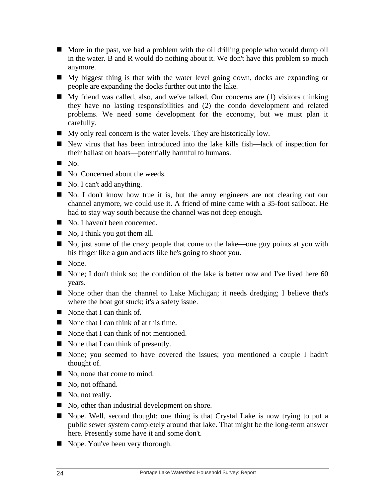- More in the past, we had a problem with the oil drilling people who would dump oil in the water. B and R would do nothing about it. We don't have this problem so much anymore.
- My biggest thing is that with the water level going down, docks are expanding or people are expanding the docks further out into the lake.
- $\blacksquare$  My friend was called, also, and we've talked. Our concerns are (1) visitors thinking they have no lasting responsibilities and (2) the condo development and related problems. We need some development for the economy, but we must plan it carefully.
- My only real concern is the water levels. They are historically low.
- New virus that has been introduced into the lake kills fish—lack of inspection for their ballast on boats—potentially harmful to humans.
- No.
- No. Concerned about the weeds.
- No. I can't add anything.
- No. I don't know how true it is, but the army engineers are not clearing out our channel anymore, we could use it. A friend of mine came with a 35-foot sailboat. He had to stay way south because the channel was not deep enough.
- No. I haven't been concerned.
- No, I think you got them all.
- No, just some of the crazy people that come to the lake—one guy points at you with his finger like a gun and acts like he's going to shoot you.
- None.
- None: I don't think so; the condition of the lake is better now and I've lived here  $60$ years.
- None other than the channel to Lake Michigan; it needs dredging; I believe that's where the boat got stuck; it's a safety issue.
- None that I can think of.
- None that I can think of at this time.
- None that I can think of not mentioned.
- None that I can think of presently.
- None; you seemed to have covered the issues; you mentioned a couple I hadn't thought of.
- No, none that come to mind.
- No, not of fhand.
- No, not really.
- No, other than industrial development on shore.
- Nope. Well, second thought: one thing is that Crystal Lake is now trying to put a public sewer system completely around that lake. That might be the long-term answer here. Presently some have it and some don't.
- Nope. You've been very thorough.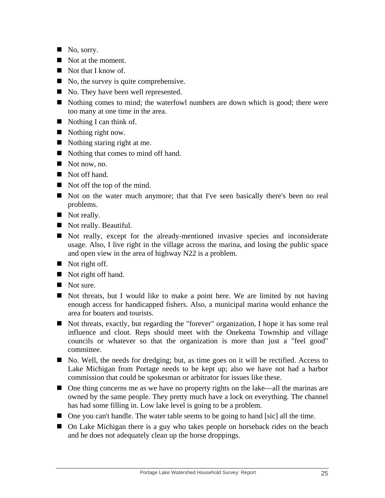- $\blacksquare$  No, sorry.
- Not at the moment.
- Not that I know of.
- $\blacksquare$  No, the survey is quite comprehensive.
- No. They have been well represented.
- Nothing comes to mind; the waterfowl numbers are down which is good; there were too many at one time in the area.
- Nothing I can think of.
- Nothing right now.
- Nothing staring right at me.
- Nothing that comes to mind off hand.
- Not now, no.
- Not off hand.
- Not off the top of the mind.
- Not on the water much anymore; that that I've seen basically there's been no real problems.
- Not really.
- Not really. Beautiful.
- Not really, except for the already-mentioned invasive species and inconsiderate usage. Also, I live right in the village across the marina, and losing the public space and open view in the area of highway N22 is a problem.
- $\blacksquare$  Not right off.
- Not right off hand.
- Not sure.
- $\blacksquare$  Not threats, but I would like to make a point here. We are limited by not having enough access for handicapped fishers. Also, a municipal marina would enhance the area for boaters and tourists.
- Not threats, exactly, but regarding the "forever" organization, I hope it has some real influence and clout. Reps should meet with the Onekema Township and village councils or whatever so that the organization is more than just a "feel good" committee.
- No. Well, the needs for dredging; but, as time goes on it will be rectified. Access to Lake Michigan from Portage needs to be kept up; also we have not had a harbor commission that could be spokesman or arbitrator for issues like these.
- One thing concerns me as we have no property rights on the lake—all the marinas are owned by the same people. They pretty much have a lock on everything. The channel has had some filling in. Low lake level is going to be a problem.
- $\blacksquare$  One you can't handle. The water table seems to be going to hand [sic] all the time.
- On Lake Michigan there is a guy who takes people on horseback rides on the beach and he does not adequately clean up the horse droppings.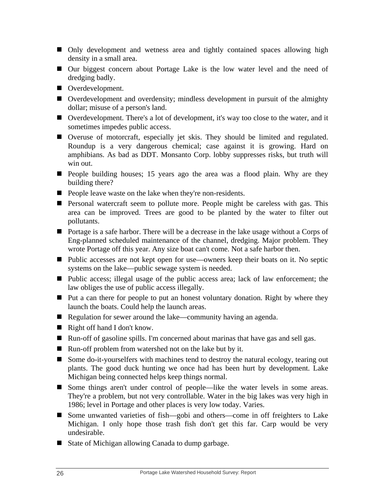- Only development and wetness area and tightly contained spaces allowing high density in a small area.
- Our biggest concern about Portage Lake is the low water level and the need of dredging badly.
- Overdevelopment.
- Overdevelopment and overdensity; mindless development in pursuit of the almighty dollar; misuse of a person's land.
- Overdevelopment. There's a lot of development, it's way too close to the water, and it sometimes impedes public access.
- Overuse of motorcraft, especially jet skis. They should be limited and regulated. Roundup is a very dangerous chemical; case against it is growing. Hard on amphibians. As bad as DDT. Monsanto Corp. lobby suppresses risks, but truth will win out.
- **People building houses; 15 years ago the area was a flood plain. Why are they** building there?
- **People leave waste on the lake when they're non-residents.**
- **Personal watercraft seem to pollute more. People might be careless with gas. This** area can be improved. Trees are good to be planted by the water to filter out pollutants.
- **Portage is a safe harbor. There will be a decrease in the lake usage without a Corps of** Eng-planned scheduled maintenance of the channel, dredging. Major problem. They wrote Portage off this year. Any size boat can't come. Not a safe harbor then.
- Public accesses are not kept open for use—owners keep their boats on it. No septic systems on the lake—public sewage system is needed.
- Public access; illegal usage of the public access area; lack of law enforcement; the law obliges the use of public access illegally.
- $\blacksquare$  Put a can there for people to put an honest voluntary donation. Right by where they launch the boats. Could help the launch areas.
- Regulation for sewer around the lake—community having an agenda.
- Right off hand I don't know.
- Run-off of gasoline spills. I'm concerned about marinas that have gas and sell gas.
- Run-off problem from watershed not on the lake but by it.
- Some do-it-yourselfers with machines tend to destroy the natural ecology, tearing out plants. The good duck hunting we once had has been hurt by development. Lake Michigan being connected helps keep things normal.
- Some things aren't under control of people—like the water levels in some areas. They're a problem, but not very controllable. Water in the big lakes was very high in 1986; level in Portage and other places is very low today. Varies.
- Some unwanted varieties of fish—gobi and others—come in off freighters to Lake Michigan. I only hope those trash fish don't get this far. Carp would be very undesirable.
- State of Michigan allowing Canada to dump garbage.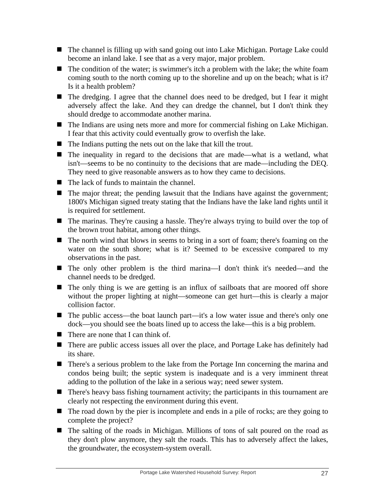- The channel is filling up with sand going out into Lake Michigan. Portage Lake could become an inland lake. I see that as a very major, major problem.
- The condition of the water; is swimmer's itch a problem with the lake; the white foam coming south to the north coming up to the shoreline and up on the beach; what is it? Is it a health problem?
- The dredging. I agree that the channel does need to be dredged, but I fear it might adversely affect the lake. And they can dredge the channel, but I don't think they should dredge to accommodate another marina.
- The Indians are using nets more and more for commercial fishing on Lake Michigan. I fear that this activity could eventually grow to overfish the lake.
- The Indians putting the nets out on the lake that kill the trout.
- The inequality in regard to the decisions that are made—what is a wetland, what isn't—seems to be no continuity to the decisions that are made—including the DEQ. They need to give reasonable answers as to how they came to decisions.
- The lack of funds to maintain the channel.
- The major threat; the pending lawsuit that the Indians have against the government; 1800's Michigan signed treaty stating that the Indians have the lake land rights until it is required for settlement.
- The marinas. They're causing a hassle. They're always trying to build over the top of the brown trout habitat, among other things.
- The north wind that blows in seems to bring in a sort of foam; there's foaming on the water on the south shore; what is it? Seemed to be excessive compared to my observations in the past.
- The only other problem is the third marina—I don't think it's needed—and the channel needs to be dredged.
- $\blacksquare$  The only thing is we are getting is an influx of sailboats that are moored off shore without the proper lighting at night—someone can get hurt—this is clearly a major collision factor.
- The public access—the boat launch part—it's a low water issue and there's only one dock—you should see the boats lined up to access the lake—this is a big problem.
- There are none that I can think of.
- There are public access issues all over the place, and Portage Lake has definitely had its share.
- There's a serious problem to the lake from the Portage Inn concerning the marina and condos being built; the septic system is inadequate and is a very imminent threat adding to the pollution of the lake in a serious way; need sewer system.
- There's heavy bass fishing tournament activity; the participants in this tournament are clearly not respecting the environment during this event.
- $\blacksquare$  The road down by the pier is incomplete and ends in a pile of rocks; are they going to complete the project?
- The salting of the roads in Michigan. Millions of tons of salt poured on the road as they don't plow anymore, they salt the roads. This has to adversely affect the lakes, the groundwater, the ecosystem-system overall.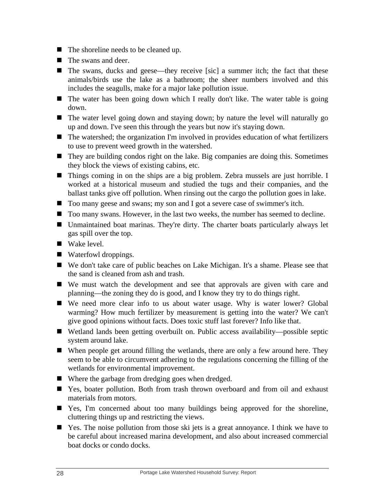- The shoreline needs to be cleaned up.
- The swans and deer.
- The swans, ducks and geese—they receive [sic] a summer itch; the fact that these animals/birds use the lake as a bathroom; the sheer numbers involved and this includes the seagulls, make for a major lake pollution issue.
- The water has been going down which I really don't like. The water table is going down.
- The water level going down and staying down; by nature the level will naturally go up and down. I've seen this through the years but now it's staying down.
- The watershed; the organization I'm involved in provides education of what fertilizers to use to prevent weed growth in the watershed.
- $\blacksquare$  They are building condos right on the lake. Big companies are doing this. Sometimes they block the views of existing cabins, etc.
- Things coming in on the ships are a big problem. Zebra mussels are just horrible. I worked at a historical museum and studied the tugs and their companies, and the ballast tanks give off pollution. When rinsing out the cargo the pollution goes in lake.
- Too many geese and swans; my son and I got a severe case of swimmer's itch.
- Too many swans. However, in the last two weeks, the number has seemed to decline.
- Unmaintained boat marinas. They're dirty. The charter boats particularly always let gas spill over the top.
- Wake level.
- Waterfowl droppings.
- We don't take care of public beaches on Lake Michigan. It's a shame. Please see that the sand is cleaned from ash and trash.
- We must watch the development and see that approvals are given with care and planning—the zoning they do is good, and I know they try to do things right.
- We need more clear info to us about water usage. Why is water lower? Global warming? How much fertilizer by measurement is getting into the water? We can't give good opinions without facts. Does toxic stuff last forever? Info like that.
- Wetland lands been getting overbuilt on. Public access availability—possible septic system around lake.
- When people get around filling the wetlands, there are only a few around here. They seem to be able to circumvent adhering to the regulations concerning the filling of the wetlands for environmental improvement.
- Where the garbage from dredging goes when dredged.
- Yes, boater pollution. Both from trash thrown overboard and from oil and exhaust materials from motors.
- **The Yes, I'm concerned about too many buildings being approved for the shoreline,** cluttering things up and restricting the views.
- Yes. The noise pollution from those ski jets is a great annoyance. I think we have to be careful about increased marina development, and also about increased commercial boat docks or condo docks.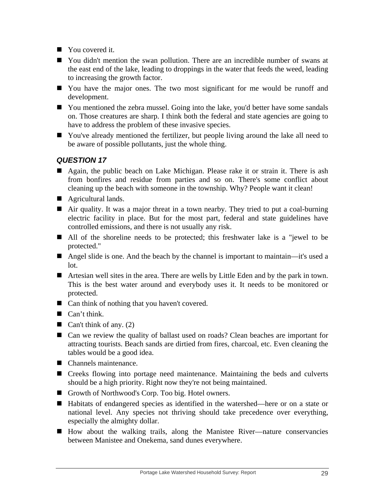- You covered it.
- You didn't mention the swan pollution. There are an incredible number of swans at the east end of the lake, leading to droppings in the water that feeds the weed, leading to increasing the growth factor.
- You have the major ones. The two most significant for me would be runoff and development.
- You mentioned the zebra mussel. Going into the lake, you'd better have some sandals on. Those creatures are sharp. I think both the federal and state agencies are going to have to address the problem of these invasive species.
- You've already mentioned the fertilizer, but people living around the lake all need to be aware of possible pollutants, just the whole thing.

- Again, the public beach on Lake Michigan. Please rake it or strain it. There is ash from bonfires and residue from parties and so on. There's some conflict about cleaning up the beach with someone in the township. Why? People want it clean!
- **Agricultural lands.**
- Air quality. It was a major threat in a town nearby. They tried to put a coal-burning electric facility in place. But for the most part, federal and state guidelines have controlled emissions, and there is not usually any risk.
- All of the shoreline needs to be protected; this freshwater lake is a "jewel to be protected."
- Angel slide is one. And the beach by the channel is important to maintain—it's used a lot.
- Artesian well sites in the area. There are wells by Little Eden and by the park in town. This is the best water around and everybody uses it. It needs to be monitored or protected.
- Can think of nothing that you haven't covered.
- Can't think.
- Can't think of any.  $(2)$
- Can we review the quality of ballast used on roads? Clean beaches are important for attracting tourists. Beach sands are dirtied from fires, charcoal, etc. Even cleaning the tables would be a good idea.
- Channels maintenance.
- Creeks flowing into portage need maintenance. Maintaining the beds and culverts should be a high priority. Right now they're not being maintained.
- Growth of Northwood's Corp. Too big. Hotel owners.
- Habitats of endangered species as identified in the watershed—here or on a state or national level. Any species not thriving should take precedence over everything, especially the almighty dollar.
- How about the walking trails, along the Manistee River—nature conservancies between Manistee and Onekema, sand dunes everywhere.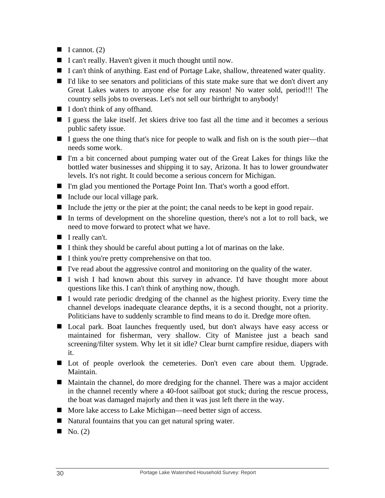- $\blacksquare$  I cannot. (2)
- I can't really. Haven't given it much thought until now.
- I can't think of anything. East end of Portage Lake, shallow, threatened water quality.
- I'd like to see senators and politicians of this state make sure that we don't divert any Great Lakes waters to anyone else for any reason! No water sold, period!!! The country sells jobs to overseas. Let's not sell our birthright to anybody!
- I don't think of any offhand.
- I guess the lake itself. Jet skiers drive too fast all the time and it becomes a serious public safety issue.
- I guess the one thing that's nice for people to walk and fish on is the south pier—that needs some work.
- I'm a bit concerned about pumping water out of the Great Lakes for things like the bottled water businesses and shipping it to say, Arizona. It has to lower groundwater levels. It's not right. It could become a serious concern for Michigan.
- I'm glad you mentioned the Portage Point Inn. That's worth a good effort.
- Include our local village park.
- Include the jetty or the pier at the point; the canal needs to be kept in good repair.
- In terms of development on the shoreline question, there's not a lot to roll back, we need to move forward to protect what we have.
- I really can't.
- I think they should be careful about putting a lot of marinas on the lake.
- I think you're pretty comprehensive on that too.
- I've read about the aggressive control and monitoring on the quality of the water.
- I wish I had known about this survey in advance. I'd have thought more about questions like this. I can't think of anything now, though.
- I would rate periodic dredging of the channel as the highest priority. Every time the channel develops inadequate clearance depths, it is a second thought, not a priority. Politicians have to suddenly scramble to find means to do it. Dredge more often.
- Local park. Boat launches frequently used, but don't always have easy access or maintained for fisherman, very shallow. City of Manistee just a beach sand screening/filter system. Why let it sit idle? Clear burnt campfire residue, diapers with it.
- In Lot of people overlook the cemeteries. Don't even care about them. Upgrade. Maintain.
- Maintain the channel, do more dredging for the channel. There was a major accident in the channel recently where a 40-foot sailboat got stuck; during the rescue process, the boat was damaged majorly and then it was just left there in the way.
- More lake access to Lake Michigan—need better sign of access.
- Natural fountains that you can get natural spring water.
- $\blacksquare$  No. (2)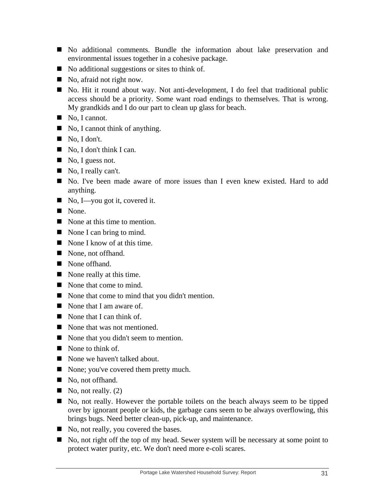- No additional comments. Bundle the information about lake preservation and environmental issues together in a cohesive package.
- $\blacksquare$  No additional suggestions or sites to think of.
- No, afraid not right now.
- No. Hit it round about way. Not anti-development, I do feel that traditional public access should be a priority. Some want road endings to themselves. That is wrong. My grandkids and I do our part to clean up glass for beach.
- No, I cannot.
- No, I cannot think of anything.
- $\blacksquare$  No. I don't.
- No. I don't think I can.
- $\blacksquare$  No, I guess not.
- No, I really can't.
- No. I've been made aware of more issues than I even knew existed. Hard to add anything.
- No, I—you got it, covered it.
- None.
- None at this time to mention.
- None I can bring to mind.
- $\blacksquare$  None I know of at this time.
- None, not offhand.
- None of fhand.
- None really at this time.
- None that come to mind.
- None that come to mind that you didn't mention.
- None that I am aware of.
- None that I can think of.
- None that was not mentioned.
- None that you didn't seem to mention.
- $\blacksquare$  None to think of.
- None we haven't talked about.
- None; you've covered them pretty much.
- No, not offhand.
- $\blacksquare$  No, not really. (2)
- No, not really. However the portable toilets on the beach always seem to be tipped over by ignorant people or kids, the garbage cans seem to be always overflowing, this brings bugs. Need better clean-up, pick-up, and maintenance.
- No, not really, you covered the bases.
- No, not right off the top of my head. Sewer system will be necessary at some point to protect water purity, etc. We don't need more e-coli scares.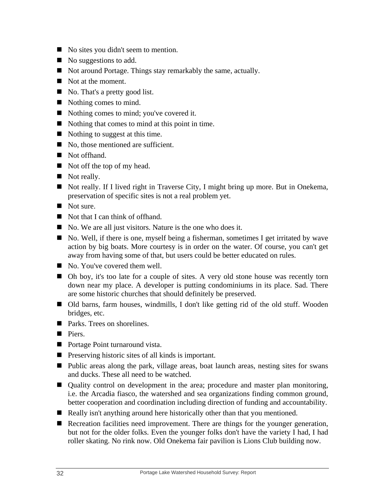- No sites you didn't seem to mention.
- No suggestions to add.
- Not around Portage. Things stay remarkably the same, actually.
- Not at the moment.
- No. That's a pretty good list.
- Nothing comes to mind.
- Nothing comes to mind; you've covered it.
- Nothing that comes to mind at this point in time.
- Nothing to suggest at this time.
- No, those mentioned are sufficient.
- Not offhand.
- Not off the top of my head.
- Not really.
- Not really. If I lived right in Traverse City, I might bring up more. But in Onekema, preservation of specific sites is not a real problem yet.
- Not sure.
- Not that I can think of offhand.
- No. We are all just visitors. Nature is the one who does it.
- No. Well, if there is one, myself being a fisherman, sometimes I get irritated by wave action by big boats. More courtesy is in order on the water. Of course, you can't get away from having some of that, but users could be better educated on rules.
- No. You've covered them well.
- Oh boy, it's too late for a couple of sites. A very old stone house was recently torn down near my place. A developer is putting condominiums in its place. Sad. There are some historic churches that should definitely be preserved.
- Old barns, farm houses, windmills, I don't like getting rid of the old stuff. Wooden bridges, etc.
- **Parks.** Trees on shorelines.
- Piers.
- Portage Point turnaround vista.
- **Preserving historic sites of all kinds is important.**
- Public areas along the park, village areas, boat launch areas, nesting sites for swans and ducks. These all need to be watched.
- Quality control on development in the area; procedure and master plan monitoring, i.e. the Arcadia fiasco, the watershed and sea organizations finding common ground, better cooperation and coordination including direction of funding and accountability.
- Really isn't anything around here historically other than that you mentioned.
- Recreation facilities need improvement. There are things for the younger generation, but not for the older folks. Even the younger folks don't have the variety I had, I had roller skating. No rink now. Old Onekema fair pavilion is Lions Club building now.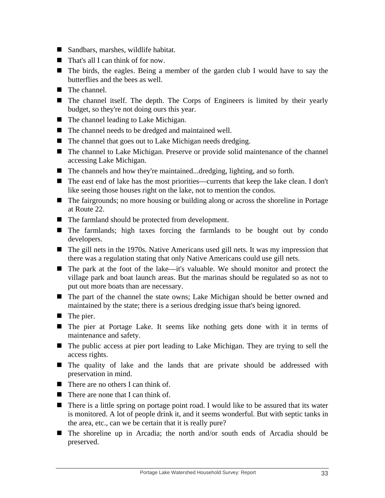- Sandbars, marshes, wildlife habitat.
- That's all I can think of for now.
- The birds, the eagles. Being a member of the garden club I would have to say the butterflies and the bees as well.
- The channel.
- The channel itself. The depth. The Corps of Engineers is limited by their yearly budget, so they're not doing ours this year.
- The channel leading to Lake Michigan.
- $\blacksquare$  The channel needs to be dredged and maintained well.
- The channel that goes out to Lake Michigan needs dredging.
- The channel to Lake Michigan. Preserve or provide solid maintenance of the channel accessing Lake Michigan.
- The channels and how they're maintained...dredging, lighting, and so forth.
- The east end of lake has the most priorities—currents that keep the lake clean. I don't like seeing those houses right on the lake, not to mention the condos.
- The fairgrounds; no more housing or building along or across the shoreline in Portage at Route 22.
- The farmland should be protected from development.
- The farmlands; high taxes forcing the farmlands to be bought out by condo developers.
- The gill nets in the 1970s. Native Americans used gill nets. It was my impression that there was a regulation stating that only Native Americans could use gill nets.
- The park at the foot of the lake—it's valuable. We should monitor and protect the village park and boat launch areas. But the marinas should be regulated so as not to put out more boats than are necessary.
- The part of the channel the state owns; Lake Michigan should be better owned and maintained by the state; there is a serious dredging issue that's being ignored.
- The pier.
- The pier at Portage Lake. It seems like nothing gets done with it in terms of maintenance and safety.
- The public access at pier port leading to Lake Michigan. They are trying to sell the access rights.
- The quality of lake and the lands that are private should be addressed with preservation in mind.
- $\blacksquare$  There are no others I can think of.
- There are none that I can think of.
- There is a little spring on portage point road. I would like to be assured that its water is monitored. A lot of people drink it, and it seems wonderful. But with septic tanks in the area, etc., can we be certain that it is really pure?
- The shoreline up in Arcadia; the north and/or south ends of Arcadia should be preserved.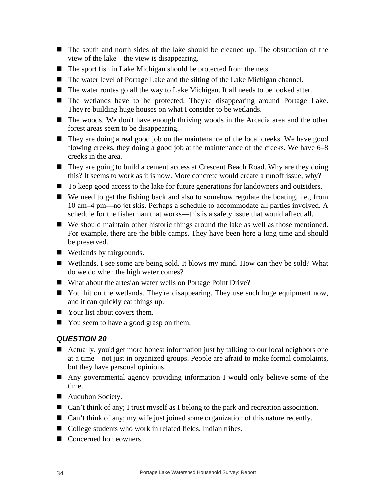- The south and north sides of the lake should be cleaned up. The obstruction of the view of the lake—the view is disappearing.
- The sport fish in Lake Michigan should be protected from the nets.
- The water level of Portage Lake and the silting of the Lake Michigan channel.
- The water routes go all the way to Lake Michigan. It all needs to be looked after.
- The wetlands have to be protected. They're disappearing around Portage Lake. They're building huge houses on what I consider to be wetlands.
- The woods. We don't have enough thriving woods in the Arcadia area and the other forest areas seem to be disappearing.
- They are doing a real good job on the maintenance of the local creeks. We have good flowing creeks, they doing a good job at the maintenance of the creeks. We have 6–8 creeks in the area.
- They are going to build a cement access at Crescent Beach Road. Why are they doing this? It seems to work as it is now. More concrete would create a runoff issue, why?
- To keep good access to the lake for future generations for landowners and outsiders.
- We need to get the fishing back and also to somehow regulate the boating, i.e., from 10 am–4 pm—no jet skis. Perhaps a schedule to accommodate all parties involved. A schedule for the fisherman that works—this is a safety issue that would affect all.
- We should maintain other historic things around the lake as well as those mentioned. For example, there are the bible camps. They have been here a long time and should be preserved.
- Wetlands by fairgrounds.
- Wetlands. I see some are being sold. It blows my mind. How can they be sold? What do we do when the high water comes?
- What about the artesian water wells on Portage Point Drive?
- You hit on the wetlands. They're disappearing. They use such huge equipment now, and it can quickly eat things up.
- Your list about covers them.
- You seem to have a good grasp on them.

- Actually, you'd get more honest information just by talking to our local neighbors one at a time—not just in organized groups. People are afraid to make formal complaints, but they have personal opinions.
- Any governmental agency providing information I would only believe some of the time.
- Audubon Society.
- Can't think of any; I trust myself as I belong to the park and recreation association.
- Can't think of any; my wife just joined some organization of this nature recently.
- College students who work in related fields. Indian tribes.
- Concerned homeowners.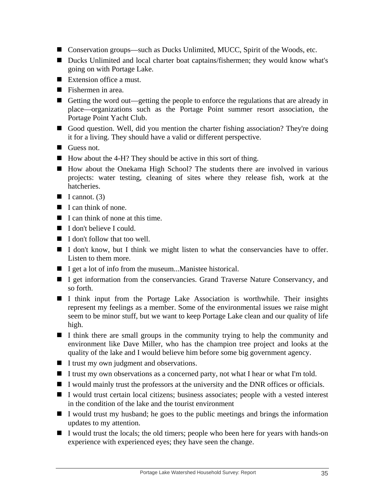- Conservation groups—such as Ducks Unlimited, MUCC, Spirit of the Woods, etc.
- Ducks Unlimited and local charter boat captains/fishermen; they would know what's going on with Portage Lake.
- Extension office a must.
- **Fishermen** in area.
- Getting the word out—getting the people to enforce the regulations that are already in place—organizations such as the Portage Point summer resort association, the Portage Point Yacht Club.
- Good question. Well, did you mention the charter fishing association? They're doing it for a living. They should have a valid or different perspective.
- Guess not.
- $\blacksquare$  How about the 4-H? They should be active in this sort of thing.
- How about the Onekama High School? The students there are involved in various projects: water testing, cleaning of sites where they release fish, work at the hatcheries.
- $\blacksquare$  I cannot. (3)
- I can think of none.
- $\blacksquare$  I can think of none at this time.
- I don't believe I could.
- $\blacksquare$  I don't follow that too well.
- I don't know, but I think we might listen to what the conservancies have to offer. Listen to them more.
- I get a lot of info from the museum...Manistee historical.
- I get information from the conservancies. Grand Traverse Nature Conservancy, and so forth.
- I I think input from the Portage Lake Association is worthwhile. Their insights represent my feelings as a member. Some of the environmental issues we raise might seem to be minor stuff, but we want to keep Portage Lake clean and our quality of life high.
- I think there are small groups in the community trying to help the community and environment like Dave Miller, who has the champion tree project and looks at the quality of the lake and I would believe him before some big government agency.
- I trust my own judgment and observations.
- I trust my own observations as a concerned party, not what I hear or what I'm told.
- I would mainly trust the professors at the university and the DNR offices or officials.
- I would trust certain local citizens; business associates; people with a vested interest in the condition of the lake and the tourist environment
- I would trust my husband; he goes to the public meetings and brings the information updates to my attention.
- I would trust the locals; the old timers; people who been here for years with hands-on experience with experienced eyes; they have seen the change.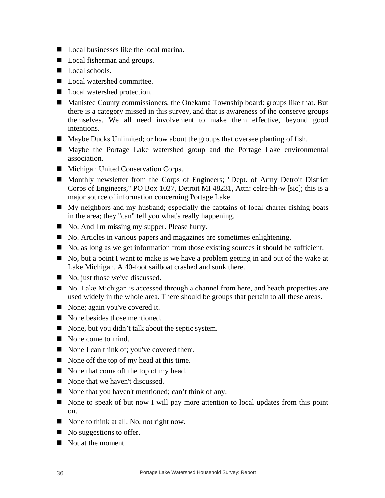- Local businesses like the local marina.
- Local fisherman and groups.
- Local schools.
- Local watershed committee.
- Local watershed protection.
- Manistee County commissioners, the Onekama Township board: groups like that. But there is a category missed in this survey, and that is awareness of the conserve groups themselves. We all need involvement to make them effective, beyond good intentions.
- Maybe Ducks Unlimited; or how about the groups that oversee planting of fish.
- Maybe the Portage Lake watershed group and the Portage Lake environmental association.
- **Michigan United Conservation Corps.**
- Monthly newsletter from the Corps of Engineers; "Dept. of Army Detroit District Corps of Engineers," PO Box 1027, Detroit MI 48231, Attn: celre-hh-w [sic]; this is a major source of information concerning Portage Lake.
- My neighbors and my husband; especially the captains of local charter fishing boats in the area; they "can" tell you what's really happening.
- No. And I'm missing my supper. Please hurry.
- No. Articles in various papers and magazines are sometimes enlightening.
- No, as long as we get information from those existing sources it should be sufficient.
- No, but a point I want to make is we have a problem getting in and out of the wake at Lake Michigan. A 40-foot sailboat crashed and sunk there.
- No, just those we've discussed.
- No. Lake Michigan is accessed through a channel from here, and beach properties are used widely in the whole area. There should be groups that pertain to all these areas.
- None; again you've covered it.
- None besides those mentioned.
- None, but you didn't talk about the septic system.
- None come to mind.
- None I can think of; you've covered them.
- None off the top of my head at this time.
- None that come off the top of my head.
- None that we haven't discussed.
- None that you haven't mentioned; can't think of any.
- None to speak of but now I will pay more attention to local updates from this point on.
- None to think at all. No, not right now.
- $\blacksquare$  No suggestions to offer.
- Not at the moment.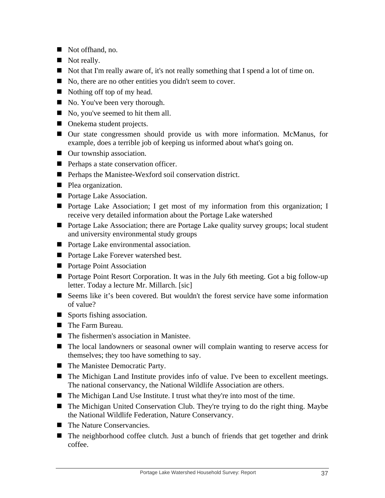- Not offhand, no.
- Not really.
- Not that I'm really aware of, it's not really something that I spend a lot of time on.
- No, there are no other entities you didn't seem to cover.
- Nothing off top of my head.
- No. You've been very thorough.
- No, you've seemed to hit them all.
- **Onekema student projects.**
- Our state congressmen should provide us with more information. McManus, for example, does a terrible job of keeping us informed about what's going on.
- Our township association.
- **Perhaps a state conservation officer.**
- **Perhaps the Manistee-Wexford soil conservation district.**
- **Plea organization.**
- **Portage Lake Association.**
- Portage Lake Association; I get most of my information from this organization; I receive very detailed information about the Portage Lake watershed
- **Portage Lake Association; there are Portage Lake quality survey groups; local student** and university environmental study groups
- **Portage Lake environmental association.**
- **Portage Lake Forever watershed best.**
- **Portage Point Association**
- Portage Point Resort Corporation. It was in the July 6th meeting. Got a big follow-up letter. Today a lecture Mr. Millarch. [sic]
- Seems like it's been covered. But wouldn't the forest service have some information of value?
- Sports fishing association.
- The Farm Bureau.
- The fishermen's association in Manistee.
- The local landowners or seasonal owner will complain wanting to reserve access for themselves; they too have something to say.
- The Manistee Democratic Party.
- The Michigan Land Institute provides info of value. I've been to excellent meetings. The national conservancy, the National Wildlife Association are others.
- The Michigan Land Use Institute. I trust what they're into most of the time.
- The Michigan United Conservation Club. They're trying to do the right thing. Maybe the National Wildlife Federation, Nature Conservancy.
- The Nature Conservancies.
- The neighborhood coffee clutch. Just a bunch of friends that get together and drink coffee.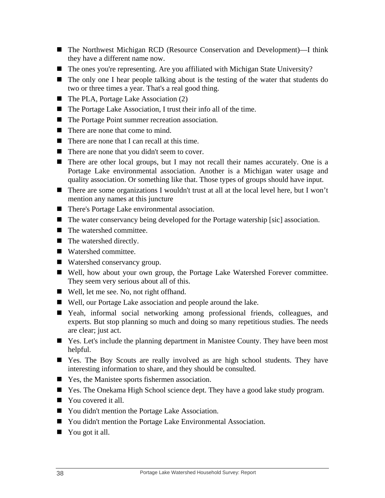- The Northwest Michigan RCD (Resource Conservation and Development)—I think they have a different name now.
- The ones you're representing. Are you affiliated with Michigan State University?
- The only one I hear people talking about is the testing of the water that students do two or three times a year. That's a real good thing.
- The PLA, Portage Lake Association (2)
- The Portage Lake Association, I trust their info all of the time.
- The Portage Point summer recreation association.
- There are none that come to mind.
- $\blacksquare$  There are none that I can recall at this time.
- There are none that you didn't seem to cover.
- There are other local groups, but I may not recall their names accurately. One is a Portage Lake environmental association. Another is a Michigan water usage and quality association. Or something like that. Those types of groups should have input.
- There are some organizations I wouldn't trust at all at the local level here, but I won't mention any names at this juncture
- There's Portage Lake environmental association.
- The water conservancy being developed for the Portage watership [sic] association.
- The watershed committee.
- The watershed directly.
- Watershed committee.
- Watershed conservancy group.
- Well, how about your own group, the Portage Lake Watershed Forever committee. They seem very serious about all of this.
- Well, let me see. No, not right of fhand.
- Well, our Portage Lake association and people around the lake.
- Yeah, informal social networking among professional friends, colleagues, and experts. But stop planning so much and doing so many repetitious studies. The needs are clear; just act.
- Yes. Let's include the planning department in Manistee County. They have been most helpful.
- Yes. The Boy Scouts are really involved as are high school students. They have interesting information to share, and they should be consulted.
- Yes, the Manistee sports fishermen association.
- Yes. The Onekama High School science dept. They have a good lake study program.
- You covered it all.
- You didn't mention the Portage Lake Association.
- You didn't mention the Portage Lake Environmental Association.
- You got it all.